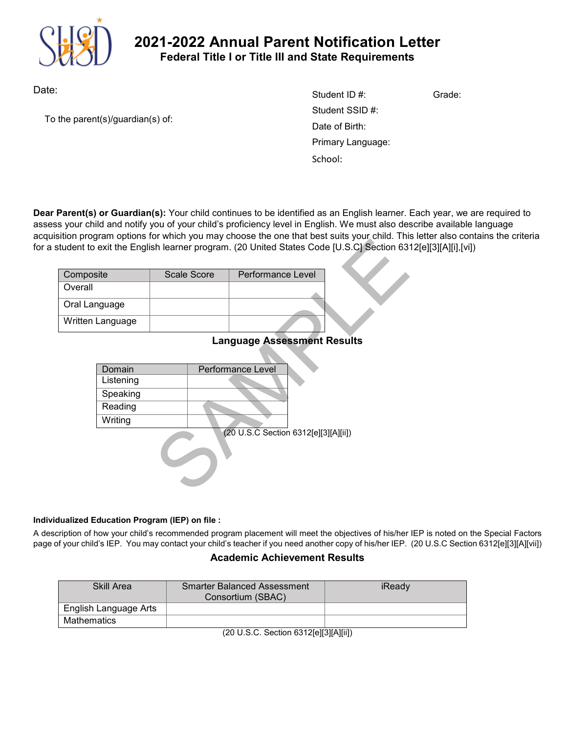

# **2021-2022 Annual Parent Notification Letter Federal Title I or Title III and State Requirements**

Date:

To the parent(s)/guardian(s) of:

| Student ID #:     | Grade: |
|-------------------|--------|
| Student SSID #:   |        |
| Date of Birth:    |        |
| Primary Language: |        |
| School:           |        |

**Dear Parent(s) or Guardian(s):** Your child continues to be identified as an English learner. Each year, we are required to assess your child and notify you of your child's proficiency level in English. We must also describe available language acquisition program options for which you may choose the one that best suits your child. This letter also contains the criteria for a student to exit the English learner program. (20 United States Code [U.S.C] Section 6312[e][3][A][i],[vi])

| Composite        | Scale Score | <b>Performance Level</b> |
|------------------|-------------|--------------------------|
| Overall          |             |                          |
| Oral Language    |             |                          |
| Written Language |             |                          |

# **Language Assessment Results**

| gram opeono for which you may choose are one and best suits your crime. This<br>exit the English learner program. (20 United States Code [U.S.C] Section 63 |  |             |                                      |  |
|-------------------------------------------------------------------------------------------------------------------------------------------------------------|--|-------------|--------------------------------------|--|
| site                                                                                                                                                        |  | Scale Score | Performance Level                    |  |
|                                                                                                                                                             |  |             |                                      |  |
| nguage                                                                                                                                                      |  |             |                                      |  |
| Language                                                                                                                                                    |  |             |                                      |  |
| <b>Language Assessment Results</b>                                                                                                                          |  |             |                                      |  |
|                                                                                                                                                             |  |             |                                      |  |
| Domain                                                                                                                                                      |  |             | Performance Level                    |  |
| Listening                                                                                                                                                   |  |             |                                      |  |
| Speaking                                                                                                                                                    |  |             |                                      |  |
| Reading                                                                                                                                                     |  |             |                                      |  |
| Writing                                                                                                                                                     |  |             |                                      |  |
|                                                                                                                                                             |  |             | (20 U.S.C Section 6312[e][3][A][ii]) |  |

#### **Individualized Education Program (IEP) on file :**

A description of how your child's recommended program placement will meet the objectives of his/her IEP is noted on the Special Factors page of your child's IEP. You may contact your child's teacher if you need another copy of his/her IEP. (20 U.S.C Section 6312[e][3][A][vii])

#### **Academic Achievement Results**

| Skill Area            | <b>Smarter Balanced Assessment</b><br>Consortium (SBAC) | iReady |
|-----------------------|---------------------------------------------------------|--------|
| English Language Arts |                                                         |        |
| Mathematics           |                                                         |        |

(20 U.S.C. Section 6312[e][3][A][ii])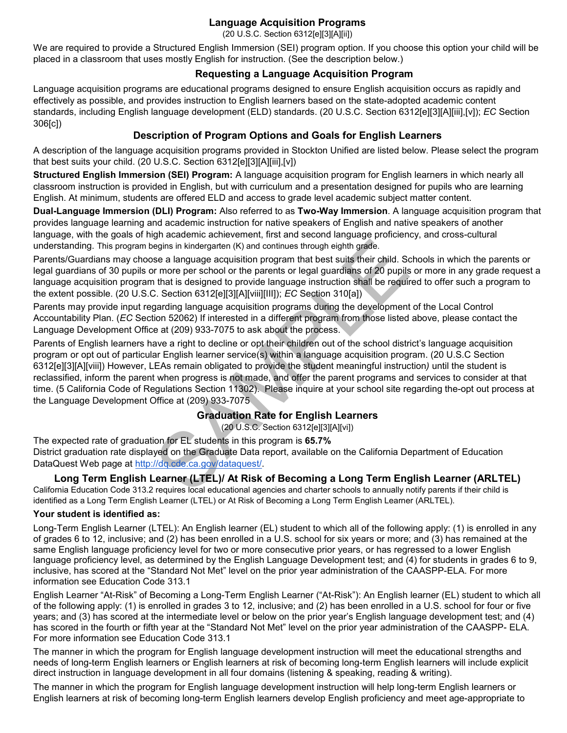## **Language Acquisition Programs**

(20 U.S.C. Section 6312[e][3][A][ii])

We are required to provide a Structured English Immersion (SEI) program option. If you choose this option your child will be placed in a classroom that uses mostly English for instruction. (See the description below.)

#### **Requesting a Language Acquisition Program**

Language acquisition programs are educational programs designed to ensure English acquisition occurs as rapidly and effectively as possible, and provides instruction to English learners based on the state-adopted academic content standards, including English language development (ELD) standards. (20 U.S.C. Section 6312[e][3][A][iii],[v]); *EC* Section 306[c])

## **Description of Program Options and Goals for English Learners**

A description of the language acquisition programs provided in Stockton Unified are listed below. Please select the program that best suits your child. (20 U.S.C. Section 6312[e][3][A][iii],[v])

**Structured English Immersion (SEI) Program:** A language acquisition program for English learners in which nearly all classroom instruction is provided in English, but with curriculum and a presentation designed for pupils who are learning English. At minimum, students are offered ELD and access to grade level academic subject matter content.

**Dual-Language Immersion (DLI) Program:** Also referred to as **Two-Way Immersion**. A language acquisition program that provides language learning and academic instruction for native speakers of English and native speakers of another language, with the goals of high academic achievement, first and second language proficiency, and cross-cultural understanding. This program begins in kindergarten (K) and continues through eighth grade.

Parents/Guardians may choose a language acquisition program that best suits their child. Schools in which the parents or legal guardians of 30 pupils or more per school or the parents or legal guardians of 20 pupils or more in any grade request a language acquisition program that is designed to provide language instruction shall be required to offer such a program to the extent possible. (20 U.S.C. Section 6312[e][3][A][viii][III]); *EC* Section 310[a])

Parents may provide input regarding language acquisition programs during the development of the Local Control Accountability Plan. (*EC* Section 52062) If interested in a different program from those listed above, please contact the Language Development Office at (209) 933-7075 to ask about the process.

begins in kindergarten (K) and continues through eighth grade.<br>Se a language acquisition program that best suits their child. Sc<br>Frame per school or the parents or legal guardians of 20 pupils<br>that is designed to provide Parents of English learners have a right to decline or opt their children out of the school district's language acquisition program or opt out of particular English learner service(s) within a language acquisition program. (20 U.S.C Section 6312[e][3][A][viii]) However, LEAs remain obligated to provide the student meaningful instruction*)* until the student is reclassified, inform the parent when progress is not made, and offer the parent programs and services to consider at that time. (5 California Code of Regulations Section 11302). Please inquire at your school site regarding the-opt out process at the Language Development Office at (209) 933-7075

### **Graduation Rate for English Learners**

(20 U.S.C. Section 6312[e][3][A][vi])

The expected rate of graduation for EL students in this program is **65.7%** District graduation rate displayed on the Graduate Data report, available on the California Department of Education DataQuest Web page at http://dq.cde.ca.gov/dataquest/.

#### **Long Term English Learner (LTEL)/ At Risk of Becoming a Long Term English Learner (ARLTEL)** California Education Code 313.2 requires local educational agencies and charter schools to annually notify parents if their child is

identified as a Long Term English Learner (LTEL) or At Risk of Becoming a Long Term English Learner (ARLTEL).

#### **Your student is identified as:**

Long-Term English Learner (LTEL): An English learner (EL) student to which all of the following apply: (1) is enrolled in any of grades 6 to 12, inclusive; and (2) has been enrolled in a U.S. school for six years or more; and (3) has remained at the same English language proficiency level for two or more consecutive prior years, or has regressed to a lower English language proficiency level, as determined by the English Language Development test; and (4) for students in grades 6 to 9, inclusive, has scored at the "Standard Not Met" level on the prior year administration of the CAASPP-ELA. For more information see Education Code 313.1

English Learner "At-Risk" of Becoming a Long-Term English Learner ("At-Risk"): An English learner (EL) student to which all of the following apply: (1) is enrolled in grades 3 to 12, inclusive; and (2) has been enrolled in a U.S. school for four or five years; and (3) has scored at the intermediate level or below on the prior year's English language development test; and (4) has scored in the fourth or fifth year at the "Standard Not Met" level on the prior year administration of the CAASPP- ELA. For more information see Education Code 313.1

The manner in which the program for English language development instruction will meet the educational strengths and needs of long-term English learners or English learners at risk of becoming long-term English learners will include explicit direct instruction in language development in all four domains (listening & speaking, reading & writing).

The manner in which the program for English language development instruction will help long-term English learners or English learners at risk of becoming long-term English learners develop English proficiency and meet age-appropriate to